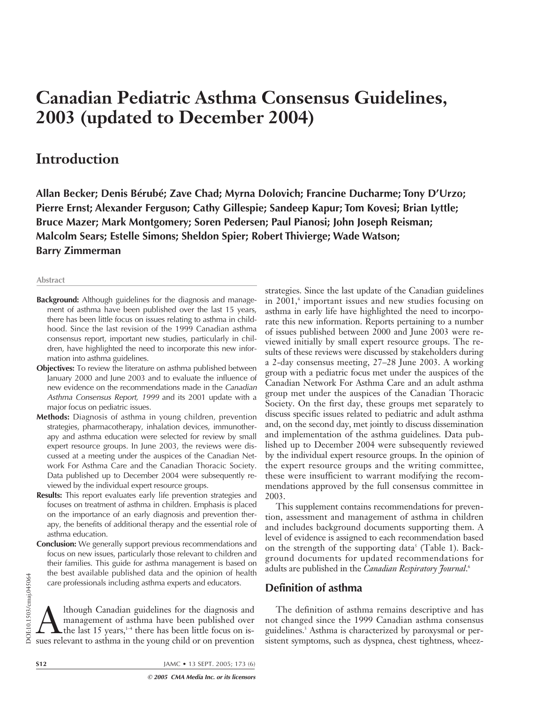# **Canadian Pediatric Asthma Consensus Guidelines, 2003 (updated to December 2004)**

# **Introduction**

**Allan Becker; Denis Bérubé; Zave Chad; Myrna Dolovich; Francine Ducharme; Tony D'Urzo; Pierre Ernst; Alexander Ferguson; Cathy Gillespie; Sandeep Kapur; Tom Kovesi; Brian Lyttle; Bruce Mazer; Mark Montgomery; Soren Pedersen; Paul Pianosi; John Joseph Reisman; Malcolm Sears; Estelle Simons; Sheldon Spier; Robert Thivierge; Wade Watson; Barry Zimmerman**

#### **Abstract**

- **Background:** Although guidelines for the diagnosis and management of asthma have been published over the last 15 years, there has been little focus on issues relating to asthma in childhood. Since the last revision of the 1999 Canadian asthma consensus report, important new studies, particularly in children, have highlighted the need to incorporate this new information into asthma guidelines.
- **Objectives:** To review the literature on asthma published between January 2000 and June 2003 and to evaluate the influence of new evidence on the recommendations made in the Canadian Asthma Consensus Report, 1999 and its 2001 update with a major focus on pediatric issues.
- **Methods:** Diagnosis of asthma in young children, prevention strategies, pharmacotherapy, inhalation devices, immunotherapy and asthma education were selected for review by small expert resource groups. In June 2003, the reviews were discussed at a meeting under the auspices of the Canadian Network For Asthma Care and the Canadian Thoracic Society. Data published up to December 2004 were subsequently reviewed by the individual expert resource groups.
- **Results:** This report evaluates early life prevention strategies and focuses on treatment of asthma in children. Emphasis is placed on the importance of an early diagnosis and prevention therapy, the benefits of additional therapy and the essential role of asthma education.
- **Conclusion:** We generally support previous recommendations and focus on new issues, particularly those relevant to children and their families. This guide for asthma management is based on the best available published data and the opinion of health care professionals including asthma experts and educators.

The best available published data and the opinion of healt<br>care professionals including asthma experts and educators.<br>Example 15 although Canadian guidelines for the diagnosis and<br>management of asthma have been published o management of asthma have been published over  $\blacktriangle$  the last 15 years,<sup>1-4</sup> there has been little focus on issues relevant to asthma in the young child or on prevention strategies. Since the last update of the Canadian guidelines in 2001,<sup>4</sup> important issues and new studies focusing on asthma in early life have highlighted the need to incorporate this new information. Reports pertaining to a number of issues published between 2000 and June 2003 were reviewed initially by small expert resource groups. The results of these reviews were discussed by stakeholders during a 2-day consensus meeting, 27–28 June 2003. A working group with a pediatric focus met under the auspices of the Canadian Network For Asthma Care and an adult asthma group met under the auspices of the Canadian Thoracic Society. On the first day, these groups met separately to discuss specific issues related to pediatric and adult asthma and, on the second day, met jointly to discuss dissemination and implementation of the asthma guidelines. Data published up to December 2004 were subsequently reviewed by the individual expert resource groups. In the opinion of the expert resource groups and the writing committee, these were insufficient to warrant modifying the recommendations approved by the full consensus committee in 2003.

This supplement contains recommendations for prevention, assessment and management of asthma in children and includes background documents supporting them. A level of evidence is assigned to each recommendation based on the strength of the supporting data<sup>5</sup> (Table 1). Background documents for updated recommendations for adults are published in the *Canadian Respiratory Journal*. 6

### **Definition of asthma**

The definition of asthma remains descriptive and has not changed since the 1999 Canadian asthma consensus guidelines.3 Asthma is characterized by paroxysmal or persistent symptoms, such as dyspnea, chest tightness, wheez-

**S12** JAMC • 13 SEPT. 2005; 173 (6)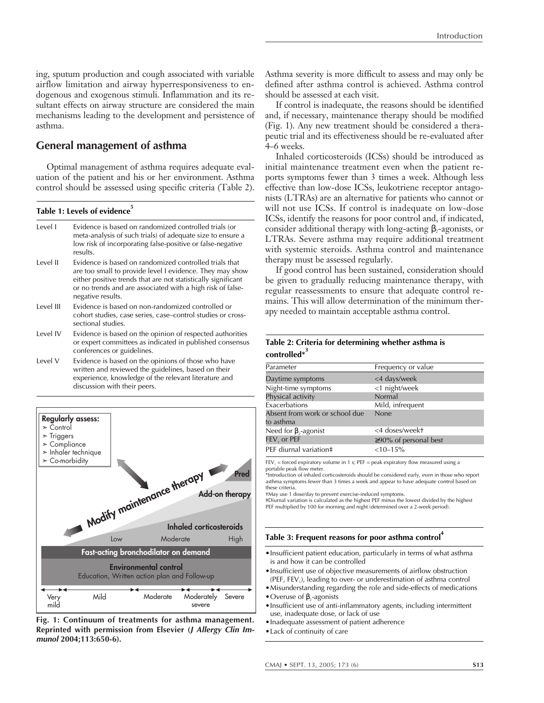ing, sputum production and cough associated with variable airflow limitation and airway hyperresponsiveness to endogenous and exogenous stimuli. Inflammation and its resultant effects on airway structure are considered the main mechanisms leading to the development and persistence of asthma.

# **General management of asthma**

Optimal management of asthma requires adequate evaluation of the patient and his or her environment. Asthma control should be assessed using specific criteria (Table 2).

Table 1: Levels of evidence<sup>5</sup>

| Level I   | Evidence is based on randomized controlled trials (or<br>meta-analysis of such trials) of adequate size to ensure a<br>low risk of incorporating false-positive or false-negative<br>results.                                                                          |
|-----------|------------------------------------------------------------------------------------------------------------------------------------------------------------------------------------------------------------------------------------------------------------------------|
| Level II  | Evidence is based on randomized controlled trials that<br>are too small to provide level I evidence. They may show<br>either positive trends that are not statistically significant<br>or no trends and are associated with a high risk of false-<br>negative results. |
| Level III | Evidence is based on non-randomized controlled or<br>cohort studies, case series, case-control studies or cross-<br>sectional studies.                                                                                                                                 |
| Level IV  | Evidence is based on the opinion of respected authorities<br>or expert committees as indicated in published consensus<br>conferences or guidelines.                                                                                                                    |
| Level V   | Evidence is based on the opinions of those who have<br>written and reviewed the guidelines, based on their<br>experience, knowledge of the relevant literature and<br>discussion with their peers.                                                                     |



**Fig. 1: Continuum of treatments for asthma management. Reprinted with permission from Elsevier (J Allergy Clin Immunol 2004;113:650-6).**

Asthma severity is more difficult to assess and may only be defined after asthma control is achieved. Asthma control should be assessed at each visit.

If control is inadequate, the reasons should be identified and, if necessary, maintenance therapy should be modified (Fig. 1). Any new treatment should be considered a therapeutic trial and its effectiveness should be re-evaluated after 4–6 weeks.

Inhaled corticosteroids (ICSs) should be introduced as initial maintenance treatment even when the patient reports symptoms fewer than 3 times a week. Although less effective than low-dose ICSs, leukotriene receptor antagonists (LTRAs) are an alternative for patients who cannot or will not use ICSs. If control is inadequate on low-dose ICSs, identify the reasons for poor control and, if indicated, consider additional therapy with long-acting  $\beta_2$ -agonists, or LTRAs. Severe asthma may require additional treatment with systemic steroids. Asthma control and maintenance therapy must be assessed regularly.

If good control has been sustained, consideration should be given to gradually reducing maintenance therapy, with regular reassessments to ensure that adequate control remains. This will allow determination of the minimum therapy needed to maintain acceptable asthma control.

#### **Table 2: Criteria for determining whether asthma is controlled\*3**

| Parameter                      | Frequency or value          |
|--------------------------------|-----------------------------|
| Daytime symptoms               | <4 days/week                |
| Night-time symptoms            | <1 night/week               |
| Physical activity              | Normal                      |
| Exacerbations                  | Mild, infrequent            |
| Absent from work or school due | None                        |
| to asthma                      |                             |
| Need for $\beta$ ,-agonist     | <4 doses/weekt              |
| FEV, or PEF                    | $\geq$ 90% of personal best |
| PEF diurnal variation‡         | $<10-15%$                   |
|                                |                             |

 $FEV<sub>1</sub> =$  forced expiratory volume in 1 s; PEF = peak expiratory flow measured using a portable peak flow meter.

\*Introduction of inhaled corticosteroids should be considered early, even in those who report asthma symptoms fewer than 3 times a week and appear to have adequate control based on these criteria.

†May use 1 dose/day to prevent exercise-induced symptoms.

‡Diurnal variation is calculated as the highest PEF minus the lowest divided by the highest PEF multiplied by 100 for morning and night (determined over a 2-week period).

#### Table 3: Frequent reasons for poor asthma control<sup>7</sup>

- •Insufficient patient education, particularly in terms of what asthma is and how it can be controlled
- •Insufficient use of objective measurements of airflow obstruction (PEF, FEV<sub>1</sub>), leading to over- or underestimation of asthma control
- •Misunderstanding regarding the role and side-effects of medications

• Overuse of  $\beta$ -agonists

•Insufficient use of anti-inflammatory agents, including intermittent use, inadequate dose, or lack of use

•Inadequate assessment of patient adherence

•Lack of continuity of care